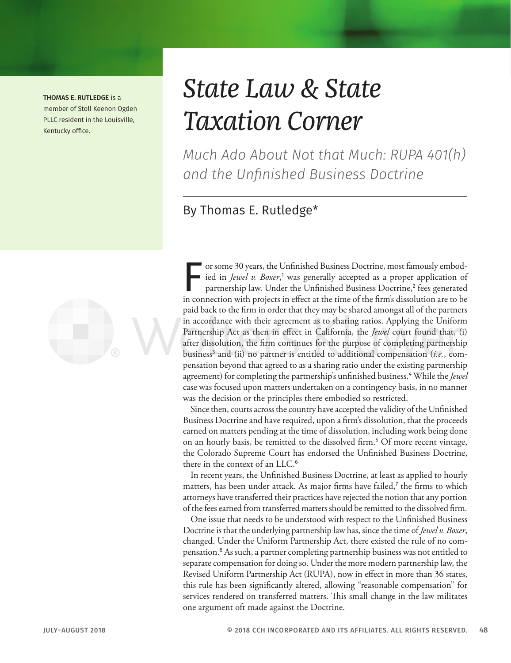THOMAS E. RUTLEDGE is a member of Stoll Keenon Ogden PLLC resident in the Louisville, Kentucky office.



# *State Law & State Taxation Corner*

*Much Ado About Not that Much: RUPA 401(h) and the Unfinished Business Doctrine*

## By Thomas E. Rutledge\*

For some 30 years, the Unfinished Business Doctrine, most famously embodied in *Jewel v. Boxer*,<sup>1</sup> was generally accepted as a proper application of partnership law. Under the Unfinished Business Doctrine,<sup>2</sup> fees generat ied in *Jewel v. Boxer*,<sup>1</sup> was generally accepted as a proper application of partnership law. Under the Unfinished Business Doctrine,<sup>2</sup> fees generated in connection with projects in effect at the time of the firm's dissolution are to be paid back to the firm in order that they may be shared amongst all of the partners in accordance with their agreement as to sharing ratios. Applying the Uniform Partnership Act as then in effect in California, the *Jewel* court found that, (i) after dissolution, the firm continues for the purpose of completing partnership business<sup>3</sup> and (ii) no partner is entitled to additional compensation (*i.e.*, compensation beyond that agreed to as a sharing ratio under the existing partnership agreement) for completing the partnership's unfinished business.<sup>4</sup> While the *Jewel* case was focused upon matters undertaken on a contingency basis, in no manner was the decision or the principles there embodied so restricted.

Since then, courts across the country have accepted the validity of the Unfinished Business Doctrine and have required, upon a firm's dissolution, that the proceeds earned on matters pending at the time of dissolution, including work being done on an hourly basis, be remitted to the dissolved firm.<sup>5</sup> Of more recent vintage, the Colorado Supreme Court has endorsed the Unfinished Business Doctrine, there in the context of an LLC.<sup>6</sup>

In recent years, the Unfinished Business Doctrine, at least as applied to hourly matters, has been under attack. As major firms have failed,<sup>7</sup> the firms to which attorneys have transferred their practices have rejected the notion that any portion of the fees earned from transferred matters should be remitted to the dissolved firm.

One issue that needs to be understood with respect to the Unfinished Business Doctrine is that the underlying partnership law has, since the time of *Jewel v. Boxer*, changed. Under the Uniform Partnership Act, there existed the rule of no compensation.<sup>8</sup> As such, a partner completing partnership business was not entitled to separate compensation for doing so. Under the more modern partnership law, the Revised Uniform Partnership Act (RUPA), now in effect in more than 36 states, this rule has been significantly altered, allowing "reasonable compensation" for services rendered on transferred matters. This small change in the law militates one argument oft made against the Doctrine.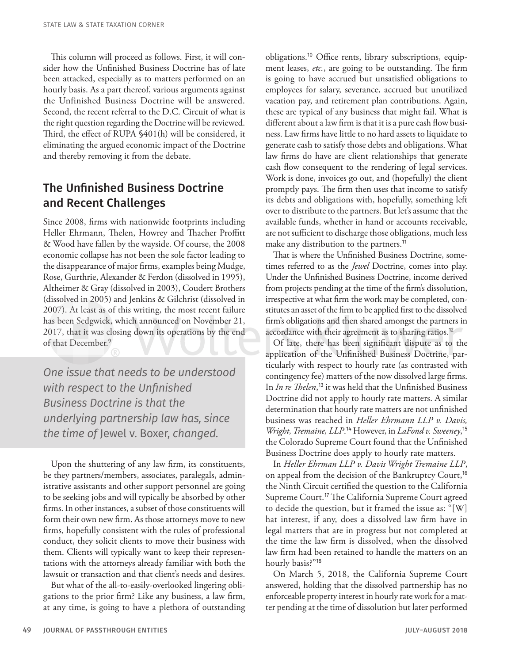This column will proceed as follows. First, it will consider how the Unfinished Business Doctrine has of late been attacked, especially as to matters performed on an hourly basis. As a part thereof, various arguments against the Unfinished Business Doctrine will be answered. Second, the recent referral to the D.C. Circuit of what is the right question regarding the Doctrine will be reviewed. Third, the effect of RUPA §401(h) will be considered, it eliminating the argued economic impact of the Doctrine and thereby removing it from the debate.

#### The Unfinished Business Doctrine and Recent Challenges

Since 2008, firms with nationwide footprints including Heller Ehrmann, Thelen, Howrey and Thacher Proffitt & Wood have fallen by the wayside. Of course, the 2008 economic collapse has not been the sole factor leading to the disappearance of major firms, examples being Mudge, Rose, Gurthrie, Alexander & Ferdon (dissolved in 1995), Altheimer & Gray (dissolved in 2003), Coudert Brothers (dissolved in 2005) and Jenkins & Gilchrist (dissolved in 2007). At least as of this writing, the most recent failure has been Sedgwick, which announced on November 21, 2017, that it was closing down its operations by the end of that December.<sup>9</sup>

*One issue that needs to be understood with respect to the Unfinished Business Doctrine is that the underlying partnership law has, since the time of* Jewel v. Boxer, *changed.*

Upon the shuttering of any law firm, its constituents, be they partners/members, associates, paralegals, administrative assistants and other support personnel are going to be seeking jobs and will typically be absorbed by other firms. In other instances, a subset of those constituents will form their own new firm. As those attorneys move to new firms, hopefully consistent with the rules of professional conduct, they solicit clients to move their business with them. Clients will typically want to keep their representations with the attorneys already familiar with both the lawsuit or transaction and that client's needs and desires.

But what of the all-to-easily-overlooked lingering obligations to the prior firm? Like any business, a law firm, at any time, is going to have a plethora of outstanding obligations.10 Office rents, library subscriptions, equipment leases, *etc.*, are going to be outstanding. The firm is going to have accrued but unsatisfied obligations to employees for salary, severance, accrued but unutilized vacation pay, and retirement plan contributions. Again, these are typical of any business that might fail. What is different about a law firm is that it is a pure cash flow business. Law firms have little to no hard assets to liquidate to generate cash to satisfy those debts and obligations. What law firms do have are client relationships that generate cash flow consequent to the rendering of legal services. Work is done, invoices go out, and (hopefully) the client promptly pays. The firm then uses that income to satisfy its debts and obligations with, hopefully, something left over to distribute to the partners. But let's assume that the available funds, whether in hand or accounts receivable, are not sufficient to discharge those obligations, much less make any distribution to the partners.<sup>11</sup>

That is where the Unfinished Business Doctrine, sometimes referred to as the *Jewel* Doctrine, comes into play. Under the Unfinished Business Doctrine, income derived from projects pending at the time of the firm's dissolution, irrespective at what firm the work may be completed, constitutes an asset of the firm to be applied first to the dissolved firm's obligations and then shared amongst the partners in accordance with their agreement as to sharing ratios.<sup>12</sup>

Of late, there has been significant dispute as to the application of the Unfinished Business Doctrine, particularly with respect to hourly rate (as contrasted with contingency fee) matters of the now dissolved large firms. In *In re Thelen*, <sup>13</sup> it was held that the Unfinished Business Doctrine did not apply to hourly rate matters. A similar determination that hourly rate matters are not unfinished business was reached in *Heller Ehrmann LLP v. Davis, Wright, Tremaine, LLP*. <sup>14</sup> However, in *LaFond v. Sweeney*, 15 the Colorado Supreme Court found that the Unfinished Business Doctrine does apply to hourly rate matters.

In *Heller Ehrman LLP v. Davis Wright Tremaine LLP*, on appeal from the decision of the Bankruptcy Court,<sup>16</sup> the Ninth Circuit certified the question to the California Supreme Court.<sup>17</sup> The California Supreme Court agreed to decide the question, but it framed the issue as: "[W] hat interest, if any, does a dissolved law firm have in legal matters that are in progress but not completed at the time the law firm is dissolved, when the dissolved law firm had been retained to handle the matters on an hourly basis?"<sup>18</sup>

On March 5, 2018, the California Supreme Court answered, holding that the dissolved partnership has no enforceable property interest in hourly rate work for a matter pending at the time of dissolution but later performed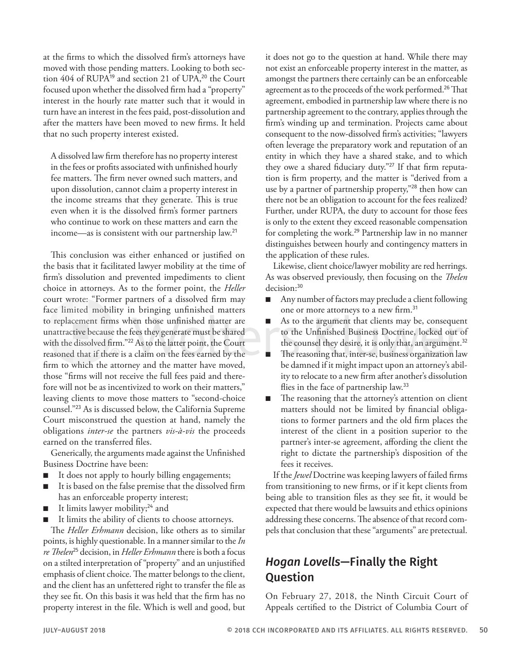at the firms to which the dissolved firm's attorneys have moved with those pending matters. Looking to both section 404 of RUPA<sup>19</sup> and section 21 of UPA,<sup>20</sup> the Court focused upon whether the dissolved firm had a "property" interest in the hourly rate matter such that it would in turn have an interest in the fees paid, post-dissolution and after the matters have been moved to new firms. It held that no such property interest existed.

A dissolved law firm therefore has no property interest in the fees or profits associated with unfinished hourly fee matters. The firm never owned such matters, and upon dissolution, cannot claim a property interest in the income streams that they generate. This is true even when it is the dissolved firm's former partners who continue to work on these matters and earn the income—as is consistent with our partnership law.<sup>21</sup>

This conclusion was either enhanced or justified on the basis that it facilitated lawyer mobility at the time of firm's dissolution and prevented impediments to client choice in attorneys. As to the former point, the *Heller* court wrote: "Former partners of a dissolved firm may face limited mobility in bringing unfinished matters to replacement firms when those unfinished matter are unattractive because the fees they generate must be shared with the dissolved firm."<sup>22</sup> As to the latter point, the Court reasoned that if there is a claim on the fees earned by the firm to which the attorney and the matter have moved, those "firms will not receive the full fees paid and therefore will not be as incentivized to work on their matters," leaving clients to move those matters to "second-choice counsel."<sup>23</sup> As is discussed below, the California Supreme Court misconstrued the question at hand, namely the obligations *inter-se* the partners *vis-à-vis* the proceeds earned on the transferred files.

Generically, the arguments made against the Unfinished Business Doctrine have been:

- It does not apply to hourly billing engagements;
- It is based on the false premise that the dissolved firm has an enforceable property interest;
- It limits lawyer mobility;<sup>24</sup> and
- It limits the ability of clients to choose attorneys.

The *Heller Erhmann* decision, like others as to similar points, is highly questionable. In a manner similar to the *In re Thelen*<sup>25</sup> decision, in *Heller Erhmann* there is both a focus on a stilted interpretation of "property" and an unjustified emphasis of client choice. The matter belongs to the client, and the client has an unfettered right to transfer the file as they see fit. On this basis it was held that the firm has no property interest in the file. Which is well and good, but it does not go to the question at hand. While there may not exist an enforceable property interest in the matter, as amongst the partners there certainly can be an enforceable agreement as to the proceeds of the work performed.<sup>26</sup> That agreement, embodied in partnership law where there is no partnership agreement to the contrary, applies through the firm's winding up and termination. Projects came about consequent to the now-dissolved firm's activities; "lawyers often leverage the preparatory work and reputation of an entity in which they have a shared stake, and to which they owe a shared fiduciary duty."27 If that firm reputation is firm property, and the matter is "derived from a use by a partner of partnership property,"<sup>28</sup> then how can there not be an obligation to account for the fees realized? Further, under RUPA, the duty to account for those fees is only to the extent they exceed reasonable compensation for completing the work.<sup>29</sup> Partnership law in no manner distinguishes between hourly and contingency matters in the application of these rules.

Likewise, client choice/lawyer mobility are red herrings. As was observed previously, then focusing on the *Thelen* decision:<sup>30</sup>

- Any number of factors may preclude a client following one or more attorneys to a new firm.<sup>31</sup>
- As to the argument that clients may be, consequent to the Unfinished Business Doctrine, locked out of the counsel they desire, it is only that, an argument.<sup>32</sup>
- The reasoning that, inter-se, business organization law be damned if it might impact upon an attorney's ability to relocate to a new firm after another's dissolution flies in the face of partnership law.<sup>33</sup>
- The reasoning that the attorney's attention on client matters should not be limited by financial obligations to former partners and the old firm places the interest of the client in a position superior to the partner's inter-se agreement, affording the client the right to dictate the partnership's disposition of the fees it receives.

If the *Jewel* Doctrine was keeping lawyers of failed firms from transitioning to new firms, or if it kept clients from being able to transition files as they see fit, it would be expected that there would be lawsuits and ethics opinions addressing these concerns. The absence of that record compels that conclusion that these "arguments" are pretectual.

### *Hogan Lovells*—Finally the Right **Ouestion**

On February 27, 2018, the Ninth Circuit Court of Appeals certified to the District of Columbia Court of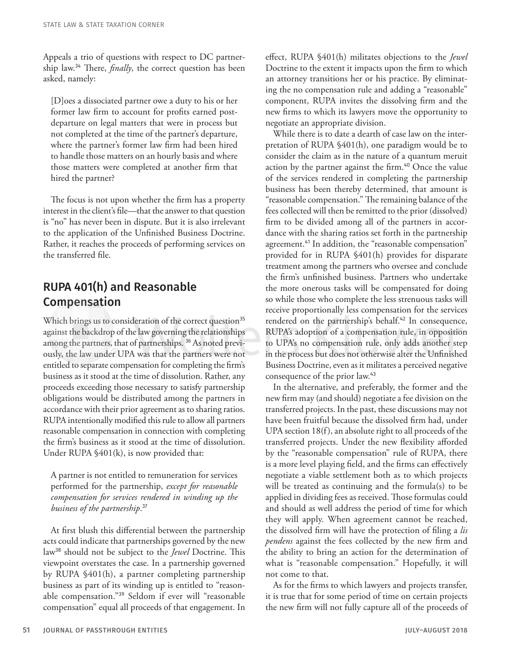Appeals a trio of questions with respect to DC partnership law.<sup>34</sup> There, *finally*, the correct question has been asked, namely:

[D]oes a dissociated partner owe a duty to his or her former law firm to account for profits earned postdeparture on legal matters that were in process but not completed at the time of the partner's departure, where the partner's former law firm had been hired to handle those matters on an hourly basis and where those matters were completed at another firm that hired the partner?

The focus is not upon whether the firm has a property interest in the client's file—that the answer to that question is "no" has never been in dispute. But it is also irrelevant to the application of the Unfinished Business Doctrine. Rather, it reaches the proceeds of performing services on the transferred file.

### RUPA 401(h) and Reasonable Compensation

Which brings us to consideration of the correct question<sup>35</sup> against the backdrop of the law governing the relationships among the partners, that of partnerships. 36 As noted previously, the law under UPA was that the partners were not entitled to separate compensation for completing the firm's business as it stood at the time of dissolution. Rather, any proceeds exceeding those necessary to satisfy partnership obligations would be distributed among the partners in accordance with their prior agreement as to sharing ratios. RUPA intentionally modified this rule to allow all partners reasonable compensation in connection with completing the firm's business as it stood at the time of dissolution. Under RUPA §401(k), is now provided that:

A partner is not entitled to remuneration for services performed for the partnership, *except for reasonable compensation for services rendered in winding up the business of the partnership*. 37

At first blush this differential between the partnership acts could indicate that partnerships governed by the new law<sup>38</sup> should not be subject to the *Jewel* Doctrine. This viewpoint overstates the case. In a partnership governed by RUPA §401(h), a partner completing partnership business as part of its winding up is entitled to "reasonable compensation."<sup>39</sup> Seldom if ever will "reasonable compensation" equal all proceeds of that engagement. In

effect, RUPA §401(h) militates objections to the *Jewel* Doctrine to the extent it impacts upon the firm to which an attorney transitions her or his practice. By eliminating the no compensation rule and adding a "reasonable" component, RUPA invites the dissolving firm and the new firms to which its lawyers move the opportunity to negotiate an appropriate division.

While there is to date a dearth of case law on the interpretation of RUPA §401(h), one paradigm would be to consider the claim as in the nature of a quantum meruit action by the partner against the firm.<sup>40</sup> Once the value of the services rendered in completing the partnership business has been thereby determined, that amount is "reasonable compensation." The remaining balance of the fees collected will then be remitted to the prior (dissolved) firm to be divided among all of the partners in accordance with the sharing ratios set forth in the partnership agreement.<sup>41</sup> In addition, the "reasonable compensation" provided for in RUPA §401(h) provides for disparate treatment among the partners who oversee and conclude the firm's unfinished business. Partners who undertake the more onerous tasks will be compensated for doing so while those who complete the less strenuous tasks will receive proportionally less compensation for the services rendered on the partnership's behalf.<sup>42</sup> In consequence, RUPA's adoption of a compensation rule, in opposition to UPA's no compensation rule, only adds another step in the process but does not otherwise alter the Unfinished Business Doctrine, even as it militates a perceived negative consequence of the prior law.<sup>43</sup>

In the alternative, and preferably, the former and the new firm may (and should) negotiate a fee division on the transferred projects. In the past, these discussions may not have been fruitful because the dissolved firm had, under UPA section 18(f), an absolute right to all proceeds of the transferred projects. Under the new flexibility afforded by the "reasonable compensation" rule of RUPA, there is a more level playing field, and the firms can effectively negotiate a viable settlement both as to which projects will be treated as continuing and the formula(s) to be applied in dividing fees as received. Those formulas could and should as well address the period of time for which they will apply. When agreement cannot be reached, the dissolved firm will have the protection of filing a *lis pendens* against the fees collected by the new firm and the ability to bring an action for the determination of what is "reasonable compensation." Hopefully, it will not come to that.

As for the firms to which lawyers and projects transfer, it is true that for some period of time on certain projects the new firm will not fully capture all of the proceeds of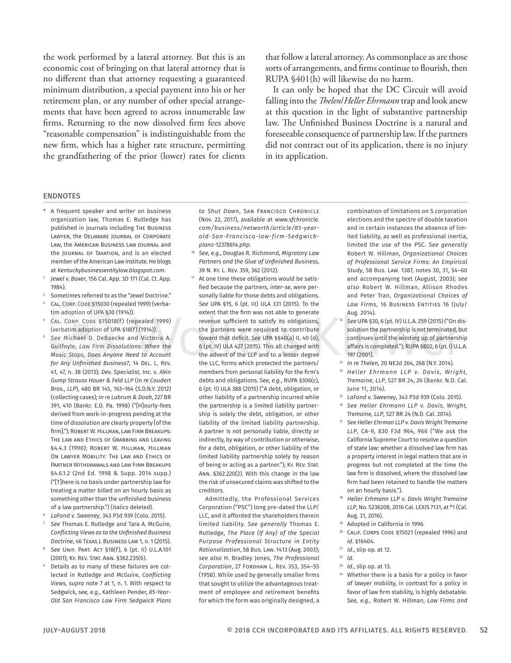the work performed by a lateral attorney. But this is an economic cost of bringing on that lateral attorney that is no different than that attorney requesting a guaranteed minimum distribution, a special payment into his or her retirement plan, or any number of other special arrangements that have been agreed to across innumerable law firms. Returning to the now dissolved firm fees above "reasonable compensation" is indistinguishable from the new firm, which has a higher rate structure, permitting the grandfathering of the prior (lower) rates for clients

that follow a lateral attorney. As commonplace as are those sorts of arrangements, and firms continue to flourish, then RUPA §401(h) will likewise do no harm.

It can only be hoped that the DC Circuit will avoid falling into the *Thelen*/*Heller Ehrmann* trap and look anew at this question in the light of substantive partnership law. The Unfinished Business Doctrine is a natural and foreseeable consequence of partnership law. If the partners did not contract out of its application, there is no injury in its application.

#### ENDNOTES

- \* A frequent speaker and writer on business organization law, Thomas E. Rutledge has published in journals including The Business Lawyer, the Delaware Journal of Corporate Law, the American Business Law Journal and the JOURNAL OF TAXATION, and is an elected member of the American Law Institute. He blogs at *Kentuckybusinessentitylaw.blogspot.com*.
- <sup>1</sup> *Jewel v. Boxer*, 156 Cal. App. 3D 171 (Cal. Ct. App. 1984).
- <sup>2</sup> Sometimes referred to as the "*Jewel* Doctrine."
- CAL. CORP. CODE §15030 (repealed 1999) (verbatim adoption of UPA §30 (1914)).
- CAL. CORP. CODE §15018(f) (repealed 1999) (verbatim adoption of UPA §18(f) (1914)).
- <sup>5</sup> *See* Michael D. DeBaecke and Victoria A. Guilfoyle, *Law Firm Dissolutions: When the Music Stops, Does Anyone Need to Account for Any Unfinished Business?*, 14 Del. L. Rev. 41, 47, n. 38 (2013); *Dev. Specialist, Inc. v. Akin Gump Strauss Hauer & Feld LLP* (*In re Coudert Bros., LLP*), 480 BR 145, 163–164 (S.D.N.Y. 2012) (collecting cases); *In re Labrum & Doak*, 227 BR 391, 410 (Bankr. E.D. Pa. 1998) ("[H]ourly-fees derived from work-in-progress pending at the time of dissolution are clearly property [of the firm]."); ROBERT W. HILLMAN, LAW FIRM BREAKUPS: The Law and Ethics of Grabbing and Leaving §4.4.3 (1990); Robert W. Hillman, Hillman On Lawyer Mobility: The Law and Ethics of Partner Withdrawals and Law Firm Breakups §4.6.1.2 (2nd Ed. 1998 & Supp. 2014 supp.) ("[T]here is no basis under partnership law for treating a matter billed on an hourly basis as something other than the unfinished business of a law partnership.") (italics deleted).
- <sup>6</sup> *LaFond v. Sweeney*, 343 P3d 939 (Colo. 2015).
- <sup>7</sup> *See* Thomas E. Rutledge and Tara A. McGuire, *Conflicting Views as to the Unfinished Business Doctrine*, 46 Texas J. Business Law 1, n. 1 (2015).
- <sup>8</sup> *See* Unif. Part. Act §18(f), 6 (pt. II) U.L.A.101 (2001); Ky. Rev. Stat. Ann. §362.235(6).
- <sup>9</sup> Details as to many of these failures are collected in Rutledge and McGuire, *Conflicting Views, supra* note 7 at 1, n. 1. With respect to Sedgwick, *see, e.g.*, Kathleen Pender, *85-Year-Old San Francisco Law Firm Sedgwick Plans*

*to Shut Down*, San Francisco Chronicle (Nov. 22, 2017), available at *www.sfchronicle. com/business/networth/article/85-yearold-San-Francisco-law-firm-Sedgwickplans-12378614.php*.

- <sup>10</sup> *See, e.g.*, Douglas R. Richmond, *Migratory Law Partners and the Glue of Unfinished Business*, 39 N. Ky. L. Rev. 359, 362 (2012).
- <sup>11</sup> At one time these obligations would be satisfied because the partners, *inter-se*, were personally liable for those debts and obligations. *See* UPA §15, 6 (pt. III) ULA 331 (2015). To the extent that the firm was not able to generate revenue sufficient to satisfy its obligations, the partners were required to contribute toward that deficit. *See* UPA §§40(a) II, 40 (d), 6 (pt. IV) ULA 427 (2015). This all changed with the advent of the LLP and to a lesser degree the LLC, forms which protected the partners/ members from personal liability for the firm's debts and obligations. *See, e.g.*, RUPA §306(c), 6 (pt. II) ULA 388 (2015) ("A debt, obligation, or other liability of a partnership incurred while the partnership is a limited liability partnership is solely the debt, obligation, or other liability of the limited liability partnership. A partner is not personally liable, directly or indirectly, by way of contribution or otherwise, for a debt, obligation, or other liability of the limited liability partnership solely by reason of being or acting as a partner."); Ky. Rev. Stat. Ann. §362.220(2). With this change in the law the risk of unsecured claims was shifted to the creditors.

Admittedly, the Professional Services Corporation ("PSC") long pre-dated the LLP/ LLC, and it afforded the shareholders therein limited liability. *See generally* Thomas E. Rutledge, *The Place (If Any) of the Special Purpose Professional Structure in Entity Rationalization*, 58 Bus. Law. 1413 (Aug. 2003); *see also* H. Bradley Jones, *The Professional Corporation*, 27 Fordham L. Rev. 353, 354–55 (1958). While used by generally smaller firms that sought to utilize the advantageous treatment of employee and retirement benefits for which the form was originally designed, a

combination of limitations on S corporation elections and the spectre of double taxation and in certain instances the absence of limited liability, as well as professional inertia, limited the use of the PSC. *See generally* Robert W. Hillman, *Organizational Choices of Professional Service Firms: An Empirical Study*, 58 Bus. Law. 1387, notes 30, 31, 54–60 and accompanying text (August, 2003); *see also* Robert W. Hillman, Allison Rhodes and Peter Tran, *Organizational Choices of*  Law Firms, 16 BUSINESS ENTITIES 16 (July/ Aug. 2014).

- <sup>12</sup> *See* UPA §30, 6 (pt. IV) U.L.A. 259 (2015) ("On dissolution the partnership is not terminated, but continues until the winding up of partnership affairs is completed."); RUPA §802, 6 (pt. I) U.L.A. 197 (2001).
- <sup>13</sup> *In re Thelen*, 20 NE3d 264, 268 (N.Y. 2014).
- <sup>14</sup> *Heller Ehrmann LLP v. Davis, Wright, Tremaine, LLP*, 527 BR 24, 26 (Bankr. N.D. Cal. June 11, 2014).
- <sup>15</sup> *LaFond v. Sweeney*, 343 P3d 939 (Colo. 2015).
- <sup>16</sup> *See Heller Ehrmann LLP v. Davis, Wright, Tremaine, LLP*, 527 BR 24 (N.D. Cal. 2014).
- <sup>17</sup> *See Heller Ehrman LLP v. Davis Wright Tremaine LLP*, CA-9, 830 F3d 964, 966 ("We ask the California Supreme Court to resolve a question of state law: whether a dissolved law firm has a property interest in legal matters that are in progress but not completed at the time the law firm is dissolved, where the dissolved law firm had been retained to handle the matters on an hourly basis.").
- <sup>18</sup> *Heller Erhmann LLP v. Davis Wright Tremaine LLP*, No. S236208, 2016 Cal. LEXIS 7131, at \*1 (Cal. Aug. 31, 2016).
- <sup>19</sup> Adopted in California in 1996.
- <sup>20</sup> CALIF. CORPS CODE §15021 (repealed 1996) and *id*. §16404.
- <sup>21</sup> *Id.*, slip op. at 12.
- <sup>22</sup> *Id*.
- <sup>23</sup> *Id.*, slip op. at 13.
- Whether there is a basis for a policy in favor of lawyer mobility, in contrast for a policy in favor of law firm stability, is highly debatable. *See, e.g.*, Robert W. Hillman, *Law Firms and*